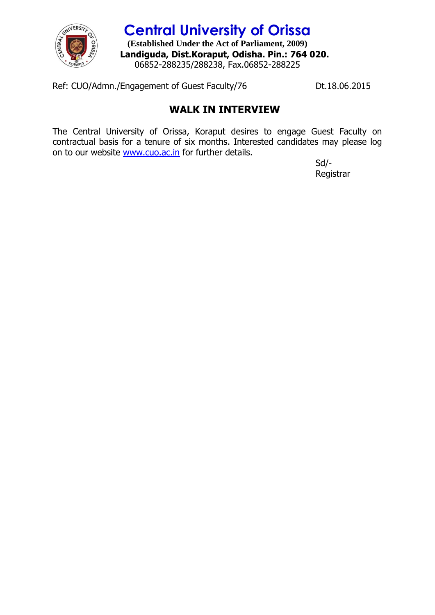

## **Central University of Orissa**

**(Established Under the Act of Parliament, 2009) Landiguda, Dist.Koraput, Odisha. Pin.: 764 020.** 06852-288235/288238, Fax.06852-288225

Ref: CUO/Admn./Engagement of Guest Faculty/76 Dt.18.06.2015

## **WALK IN INTERVIEW**

The Central University of Orissa, Koraput desires to engage Guest Faculty on contractual basis for a tenure of six months. Interested candidates may please log on to our website [www.cuo.ac.in](http://www.cuo.ac.in/) for further details.

> Sd/- Registrar